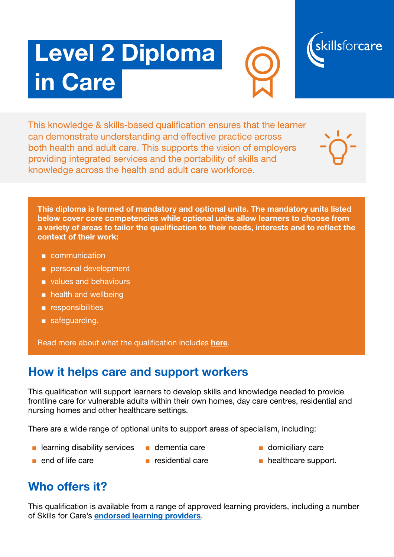# Level 2 Diploma in Care





This knowledge & skills-based qualification ensures that the learner can demonstrate understanding and effective practice across both health and adult care. This supports the vision of employers providing integrated services and the portability of skills and knowledge across the health and adult care workforce.

This diploma is formed of mandatory and optional units. The mandatory units listed below cover core competencies while optional units allow learners to choose from a variety of areas to tailor the qualification to their needs, interests and to reflect the context of their work:

- communication
- personal development
- values and behaviours
- health and wellbeing
- responsibilities
- safeguarding.

Read more about what the qualification includes [here](https://www.skillsforcare.org.uk/Documents/Learning-and-development/Qualifications/New-Quals-framework/Specification-for-Level-2-Diploma-in-Care-October-2017-FINAL.pdf).

#### How it helps care and support workers

This qualifcation will support learners to develop skills and knowledge needed to provide frontline care for vulnerable adults within their own homes, day care centres, residential and nursing homes and other healthcare settings.

There are a wide range of optional units to support areas of specialism, including:

- learning disability services
- dementia care
- domiciliary care
- end of life care
- residential care
- healthcare support.

#### Who offers it?

This qualifcation is available from a range of approved learning providers, including a number of Skills for Care's [endorsed learning providers](https://www.skillsforcare.org.uk/Learning-development/Find-an-endorsed-provider/Find-an-endorsed-provider.aspx).